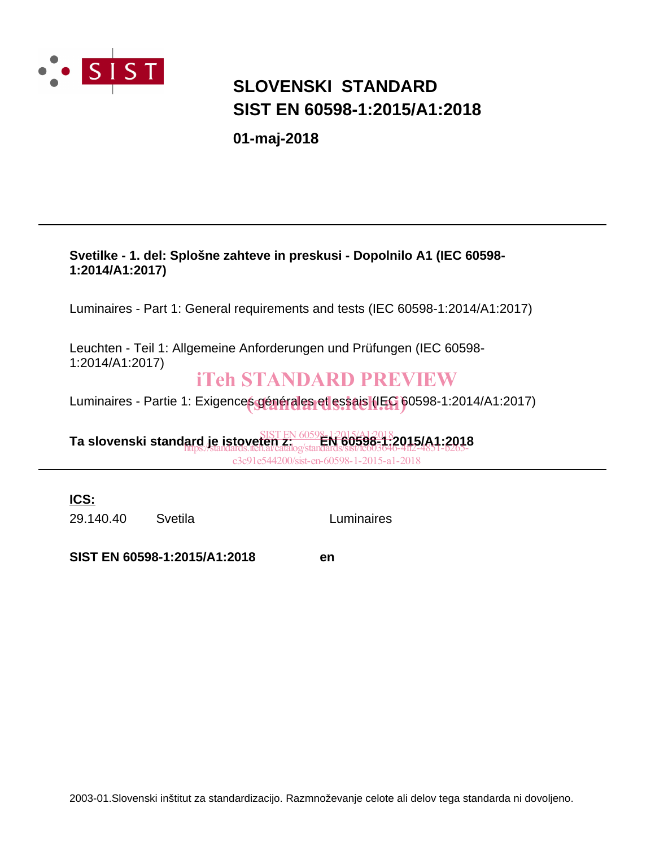

## **SIST EN 60598-1:2015/A1:2018 SLOVENSKI STANDARD**

**01-maj-2018**

### **Svetilke - 1. del: Splošne zahteve in preskusi - Dopolnilo A1 (IEC 60598- 1:2014/A1:2017)**

Luminaires - Part 1: General requirements and tests (IEC 60598-1:2014/A1:2017)

Leuchten - Teil 1: Allgemeine Anforderungen und Prüfungen (IEC 60598- 1:2014/A1:2017)

### iTeh STANDARD PREVIEW

Luminaires - Partie 1: Exigences générales et essais (IEC 60598-1:2014/A1:2017)

**Ta slovenski standard je istoveten z: EN 60598-1:2015/A1:2018** SIST EN 60598-1:2015/A1:2018 https://standards.iteh.ai/catalog/standards/sist/fc603646-4ff2-4851-b265 c3c91e544200/sist-en-60598-1-2015-a1-2018

**ICS:**

29.140.40 Svetila Luminaires

**SIST EN 60598-1:2015/A1:2018 en**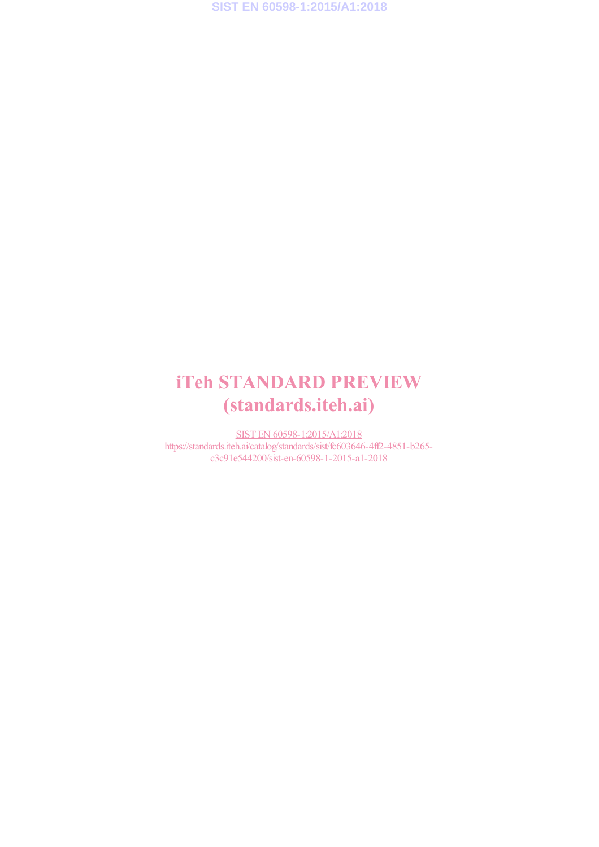## iTeh STANDARD PREVIEW (standards.iteh.ai)

SIST EN 60598-1:2015/A1:2018 https://standards.iteh.ai/catalog/standards/sist/fc603646-4ff2-4851-b265 c3c91e544200/sist-en-60598-1-2015-a1-2018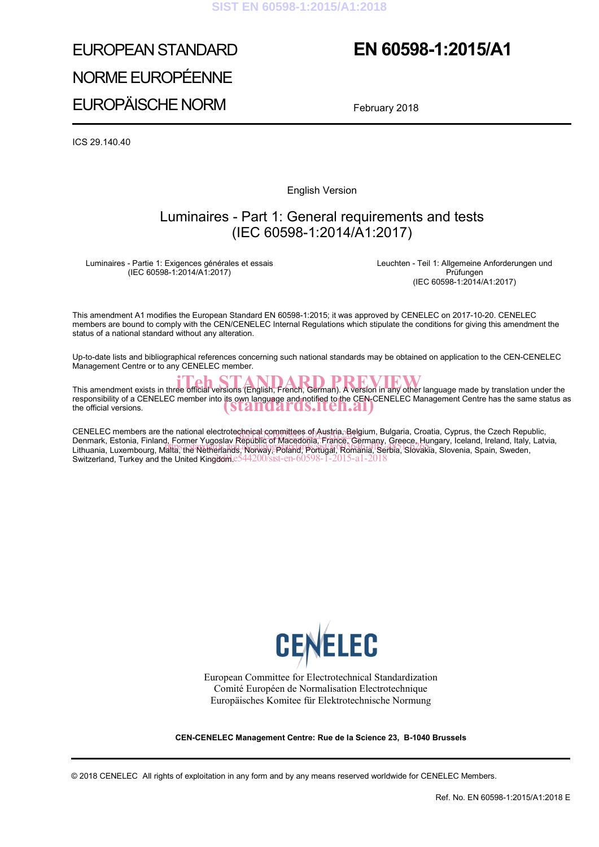## EUROPEAN STANDARD NORME EUROPÉENNE EUROPÄISCHE NORM

## **EN 60598-1:2015/A1**

February 2018

 $ICS$  29.140.40

English Version

### Luminaires - Part 1: General requirements and tests (IEC 60598-1:2014/A1:2017)

Luminaires - Partie 1: Exigences générales et essais (IEC 60598-1:2014/A1:2017)

Leuchten - Teil 1: Allgemeine Anforderungen und Prüfungen (IEC 60598-1:2014/A1:2017)

This amendment A1 modifies the European Standard EN 60598-1:2015; it was approved by CENELEC on 2017-10-20. CENELEC members are bound to comply with the CEN/CENELEC Internal Regulations which stipulate the conditions for giving this amendment the status of a national standard without any alteration.

Up-to-date lists and bibliographical references concerning such national standards may be obtained on application to the CEN-CENELEC Management Centre or to any CENELEC member.

This amendment exists in three official versions (English, French, German). A version in any other language made by translation under the responsibility of a CENELEC member into its own language and notified to the CEN-CENELEC Management Centre has the same status as <br>the official versions. the official versions.

CENELEC members are the national electrotechnical committees of Austria, Belgium, Bulgaria, Croatia, Cyprus, the Czech Republic,<br>Denmark, Estenia, Finland, Fermer Yugoslav Beaublic of Messagens, Eranse, Carmany, Crosso, Hu Denmark, Estonia, Finland, Former Yugoslav Republic of Macedonia, France, Germany, Greece, Hungary, Iceland, Ireland, Italy, Latvia, Definian, Estonia, Finland, Politier Tugoslav Republic of Macedonia, France, Oemlany, Orecce, Flungary, Iceland, Ireland, Italy,<br>Lithuania, Luxembourg, Malta, the Netherlands, N6rway, Poland, Portugal, Romania, Serbia, Slo Switzerland, Turkey and the United Kingdom.e544200/sist-en-60598-1-2015-a1-2018



European Committee for Electrotechnical Standardization Comité Européen de Normalisation Electrotechnique Europäisches Komitee für Elektrotechnische Normung

**CEN-CENELEC Management Centre: Rue de la Science 23, B-1040 Brussels**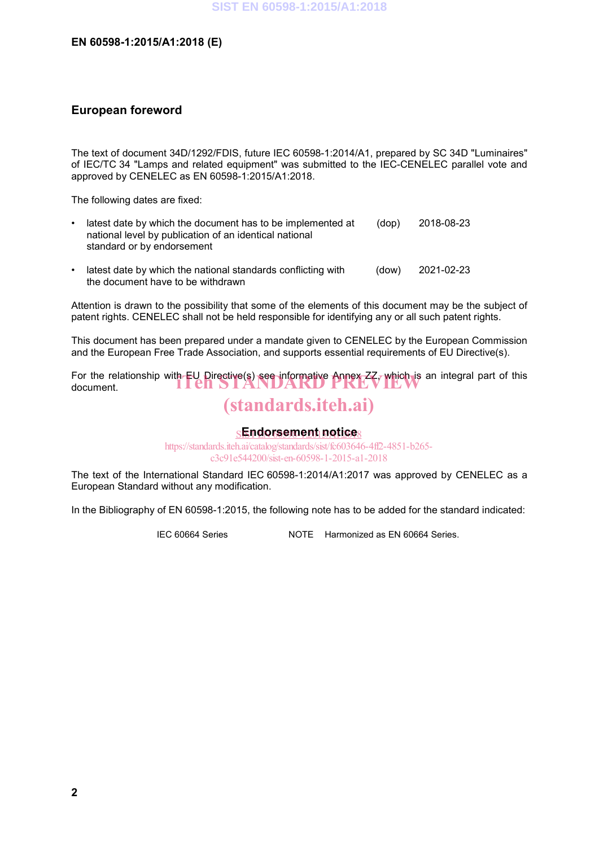### **EN 60598-1:2015/A1:2018 (E)**

### **European foreword**

The text of document 34D/1292/FDIS, future IEC 60598-1:2014/A1, prepared by SC 34D "Luminaires" of IEC/TC 34 "Lamps and related equipment" was submitted to the IEC-CENELEC parallel vote and approved by CENELEC as EN 60598-1:2015/A1:2018.

The following dates are fixed:

- latest date by which the document has to be implemented at national level by publication of an identical national standard or by endorsement (dop) 2018-08-23
- latest date by which the national standards conflicting with the document have to be withdrawn (dow) 2021-02-23

Attention is drawn to the possibility that some of the elements of this document may be the subject of patent rights. CENELEC shall not be held responsible for identifying any or all such patent rights.

This document has been prepared under a mandate given to CENELEC by the European Commission and the European Free Trade Association, and supports essential requirements of EU Directive(s).

For the relationship with EU Directive(s) see informative Annex  $ZZ$ , which is an integral part of this document. document.

## (standards.iteh.ai)

### <u>sEndorsement notices</u>

https://standards.iteh.ai/catalog/standards/sist/fc603646-4ff2-4851-b265 c3c91e544200/sist-en-60598-1-2015-a1-2018

The text of the International Standard IEC 60598-1:2014/A1:2017 was approved by CENELEC as a European Standard without any modification.

In the Bibliography of EN 60598-1:2015, the following note has to be added for the standard indicated:

IEC 60664 Series NOTE Harmonized as EN 60664 Series.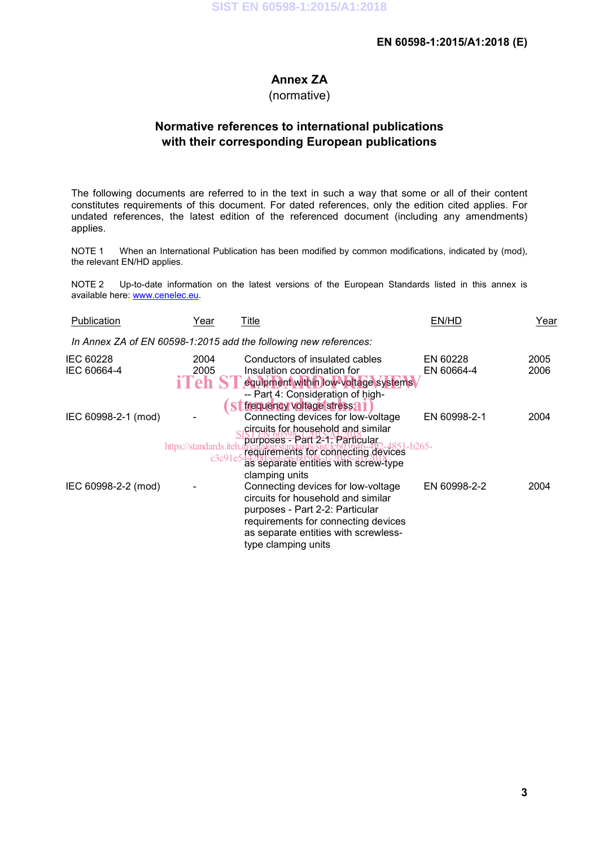### **EN 60598-1:2015/A1:2018 (E)**

### **Annex ZA**

(normative)

### **Normative references to international publications with their corresponding European publications**

The following documents are referred to in the text in such a way that some or all of their content constitutes requirements of this document. For dated references, only the edition cited applies. For undated references, the latest edition of the referenced document (including any amendments) applies.

NOTE 1 When an International Publication has been modified by common modifications, indicated by (mod), the relevant EN/HD applies.

NOTE 2 Up-to-date information on the latest versions of the European Standards listed in this annex is available here: www.cenelec.eu.

| Publication              | Year                    | Title                                                                                                                                                                                                                               | EN/HD                  | Year         |
|--------------------------|-------------------------|-------------------------------------------------------------------------------------------------------------------------------------------------------------------------------------------------------------------------------------|------------------------|--------------|
|                          |                         | In Annex ZA of EN 60598-1:2015 add the following new references:                                                                                                                                                                    |                        |              |
| IEC 60228<br>IEC 60664-4 | 2004<br>2005<br>i'l `ah | Conductors of insulated cables<br>Insulation coordination for<br>equipment within low-voltage systems<br>-- Part 4: Consideration of high-<br>frequency voltage stress?                                                             | EN 60228<br>EN 60664-4 | 2005<br>2006 |
| IEC 60998-2-1 (mod)      | https://standards.iteh. | Connecting devices for low-voltage<br>circuits for household and similar<br>purposes - Part 2-1: Particular,<br>51-b265-<br>requirements for connecting devices<br>as separate entities with screw-type                             | EN 60998-2-1           | 2004         |
| IEC 60998-2-2 (mod)      |                         | clamping units<br>Connecting devices for low-voltage<br>circuits for household and similar<br>purposes - Part 2-2: Particular<br>requirements for connecting devices<br>as separate entities with screwless-<br>type clamping units | EN 60998-2-2           | 2004         |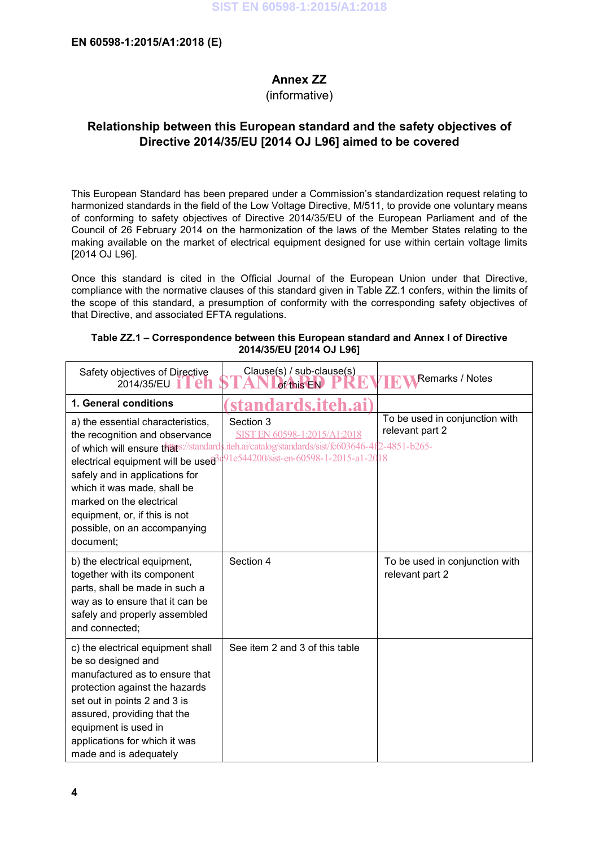### **Annex ZZ**

(informative)

### **Relationship between this European standard and the safety objectives of Directive 2014/35/EU [2014 OJ L96] aimed to be covered**

This European Standard has been prepared under a Commission's standardization request relating to harmonized standards in the field of the Low Voltage Directive, M/511, to provide one voluntary means of conforming to safety objectives of Directive 2014/35/EU of the European Parliament and of the Council of 26 February 2014 on the harmonization of the laws of the Member States relating to the making available on the market of electrical equipment designed for use within certain voltage limits [2014 OJ L96].

Once this standard is cited in the Official Journal of the European Union under that Directive, compliance with the normative clauses of this standard given in Table ZZ.1 confers, within the limits of the scope of this standard, a presumption of conformity with the corresponding safety objectives of that Directive, and associated EFTA regulations.

| Safety objectives of Directive<br>2014/35/EU                                                                                                                                                                                                                                  | Clause(s) / sub-clause(s)<br>of this EN                                                                                                                                                                                                    | Remarks / Notes                                   |
|-------------------------------------------------------------------------------------------------------------------------------------------------------------------------------------------------------------------------------------------------------------------------------|--------------------------------------------------------------------------------------------------------------------------------------------------------------------------------------------------------------------------------------------|---------------------------------------------------|
| 1. General conditions                                                                                                                                                                                                                                                         | standards.iteh.ai)                                                                                                                                                                                                                         |                                                   |
| a) the essential characteristics,<br>the recognition and observance<br>safely and in applications for<br>which it was made, shall be<br>marked on the electrical<br>equipment, or, if this is not<br>possible, on an accompanying<br>document;                                | Section 3<br>SIST EN 60598-1:2015/A1:2018<br>of which will ensure thats://standards.iteh.ai/catalog/standards/sist/fc603646-4f2-4851-b265-<br>electrical equipment will be use $\theta$ <sup>491e544200/sist-en-60598-1-2015-a1-2018</sup> | To be used in conjunction with<br>relevant part 2 |
| b) the electrical equipment,<br>together with its component<br>parts, shall be made in such a<br>way as to ensure that it can be<br>safely and properly assembled<br>and connected:                                                                                           | Section 4                                                                                                                                                                                                                                  | To be used in conjunction with<br>relevant part 2 |
| c) the electrical equipment shall<br>be so designed and<br>manufactured as to ensure that<br>protection against the hazards<br>set out in points 2 and 3 is<br>assured, providing that the<br>equipment is used in<br>applications for which it was<br>made and is adequately | See item 2 and 3 of this table                                                                                                                                                                                                             |                                                   |

| Table ZZ.1 – Correspondence between this European standard and Annex I of Directive |
|-------------------------------------------------------------------------------------|
| 2014/35/EU [2014 OJ L96]                                                            |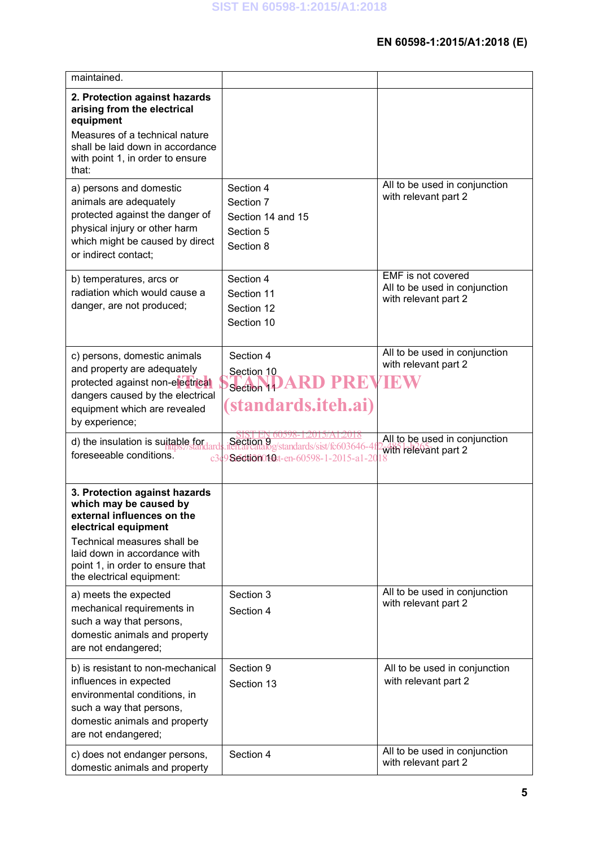| maintained.                                                                                                                                                                                                                                   |                                                                                                |                                                                             |
|-----------------------------------------------------------------------------------------------------------------------------------------------------------------------------------------------------------------------------------------------|------------------------------------------------------------------------------------------------|-----------------------------------------------------------------------------|
| 2. Protection against hazards<br>arising from the electrical<br>equipment<br>Measures of a technical nature<br>shall be laid down in accordance<br>with point 1, in order to ensure                                                           |                                                                                                |                                                                             |
| that:                                                                                                                                                                                                                                         |                                                                                                |                                                                             |
| a) persons and domestic<br>animals are adequately<br>protected against the danger of<br>physical injury or other harm<br>which might be caused by direct<br>or indirect contact;                                                              | Section 4<br>Section 7<br>Section 14 and 15<br>Section 5<br>Section 8                          | All to be used in conjunction<br>with relevant part 2                       |
| b) temperatures, arcs or<br>radiation which would cause a<br>danger, are not produced;                                                                                                                                                        | Section 4<br>Section 11<br>Section 12<br>Section 10                                            | EMF is not covered<br>All to be used in conjunction<br>with relevant part 2 |
| c) persons, domestic animals<br>and property are adequately<br>protected against non-electrical<br>dangers caused by the electrical<br>equipment which are revealed<br>by experience;                                                         | Section 4<br>Section 10<br>PREVIE<br>Section 14<br>(standards.iteh.ai)                         | All to be used in conjunction<br>with relevant part 2                       |
| d) the insulation is suitable for<br>foreseeable conditions.                                                                                                                                                                                  | Section 9<br>Ref.arcatalog/standards/sist/fc603646-4<br>c3c9 Section01st-en-60598-1-2015-a1-20 | All to be used in conjunction<br>with relevant part 2                       |
| 3. Protection against hazards<br>which may be caused by<br>external influences on the<br>electrical equipment<br>Technical measures shall be<br>laid down in accordance with<br>point 1, in order to ensure that<br>the electrical equipment: |                                                                                                |                                                                             |
| a) meets the expected<br>mechanical requirements in<br>such a way that persons,<br>domestic animals and property<br>are not endangered;                                                                                                       | Section 3<br>Section 4                                                                         | All to be used in conjunction<br>with relevant part 2                       |
| b) is resistant to non-mechanical<br>influences in expected<br>environmental conditions, in<br>such a way that persons,<br>domestic animals and property<br>are not endangered;                                                               | Section 9<br>Section 13                                                                        | All to be used in conjunction<br>with relevant part 2                       |
| c) does not endanger persons,<br>domestic animals and property                                                                                                                                                                                | Section 4                                                                                      | All to be used in conjunction<br>with relevant part 2                       |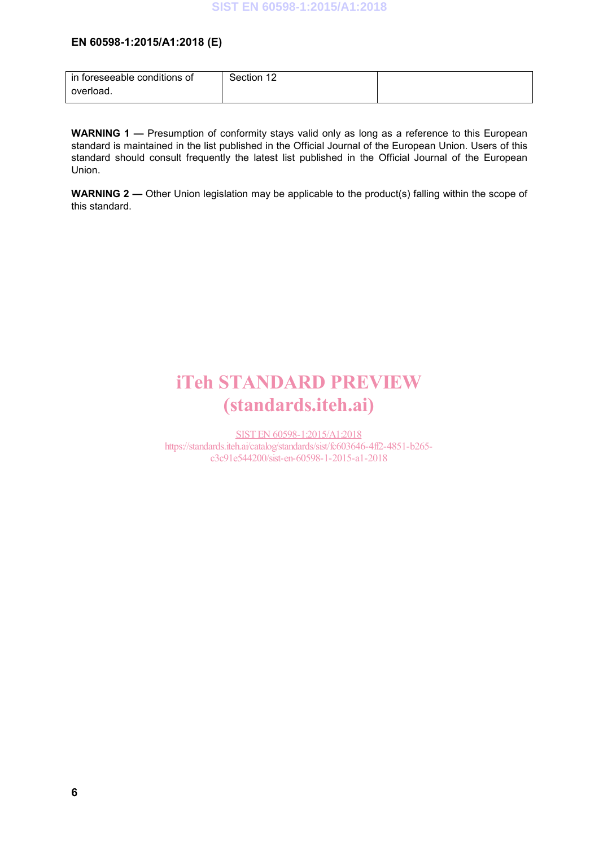### **EN 60598-1:2015/A1:2018 (E)**

| in foreseeable conditions of | Section 12 |  |
|------------------------------|------------|--|
| overload.                    |            |  |

**WARNING 1 —** Presumption of conformity stays valid only as long as a reference to this European standard is maintained in the list published in the Official Journal of the European Union. Users of this standard should consult frequently the latest list published in the Official Journal of the European Union.

**WARNING 2 —** Other Union legislation may be applicable to the product(s) falling within the scope of this standard.

## iTeh STANDARD PREVIEW (standards.iteh.ai)

SIST EN 60598-1:2015/A1:2018 https://standards.iteh.ai/catalog/standards/sist/fc603646-4ff2-4851-b265 c3c91e544200/sist-en-60598-1-2015-a1-2018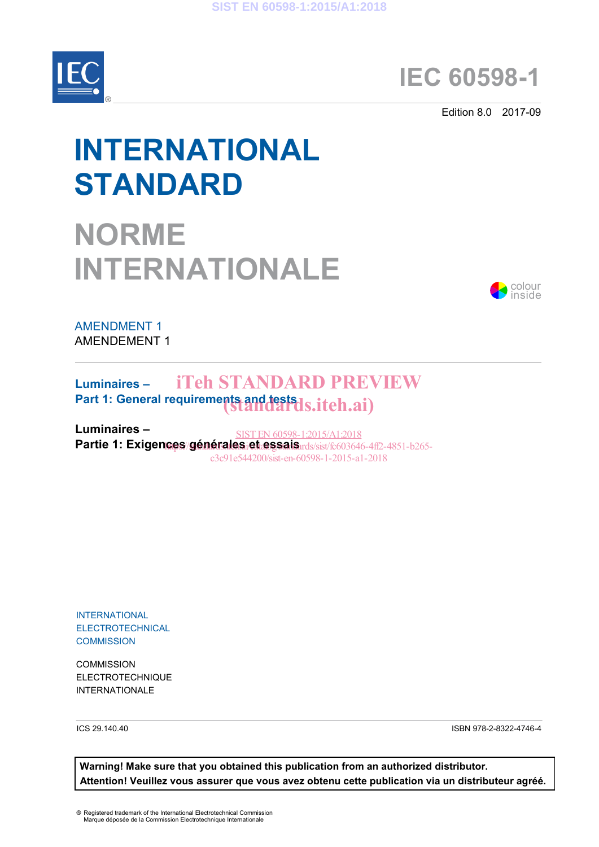

## **IEC 60598-1**

Edition 8.0 2017-09

# **INTERNATIONAL STANDARD**

# **NORME INTERNATIONALE**



AMENDMENT 1 AMENDEMENT 1

### **Luminaires –** Part 1: General requirements and **tests ds.itch.ai**) iTeh STANDARD PREVIEW

**Luminaires –**  Partie 1: Exigences **générales et essais** rds/sist/fc603646-4ff2-4851-b265-SIST EN 60598-1:2015/A1:2018 c3c91e544200/sist-en-60598-1-2015-a1-2018

INTERNATIONAL **ELECTROTECHNICAL COMMISSION** 

**COMMISSION** ELECTROTECHNIQUE INTERNATIONALE

ICS 29.140.40 ISBN 978-2-8322-4746-4

**Warning! Make sure that you obtained this publication from an authorized distributor. Attention! Veuillez vous assurer que vous avez obtenu cette publication via un distributeur agréé.**

® Registered trademark of the International Electrotechnical Commission Marque déposée de la Commission Electrotechnique Internationale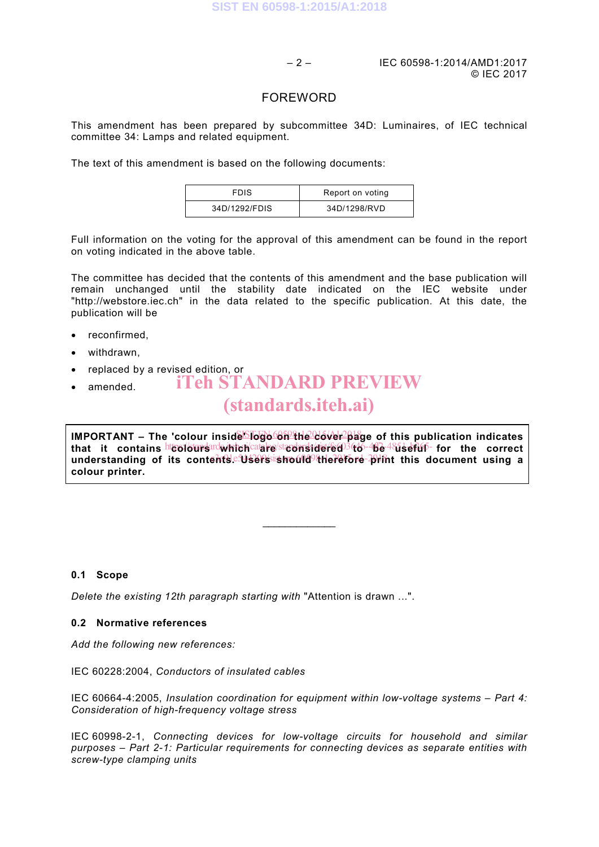– 2 – IEC 60598-1:2014/AMD1:2017 © IEC 2017

### FOREWORD

This amendment has been prepared by subcommittee 34D: Luminaires, of IEC technical committee 34: Lamps and related equipment.

The text of this amendment is based on the following documents:

| <b>FDIS</b>   | Report on voting |
|---------------|------------------|
| 34D/1292/FDIS | 34D/1298/RVD     |

Full information on the voting for the approval of this amendment can be found in the report on voting indicated in the above table.

The committee has decided that the contents of this amendment and the base publication will remain unchanged until the stability date indicated on the IEC website under "http://webstore.iec.ch" in the data related to the specific publication. At this date, the publication will be

- reconfirmed,
- withdrawn,
- replaced by a revised edition, or iTeh STANDARD PREVIEW
- amended.

## (standards.iteh.ai)

IMPORTANT – The 'colour inside **bogo on the cover pla**ge of this publication indicates that it contains<sup>ht</sup>to16urs¤dwhich<sup>/cat</sup>alre/stadersidered<sup>03</sup>66<sup>-4</sup>be-<sup>48</sup>useful for the correct understanding of its contents.<sup>eg</sup>tsers ishould<sup>9</sup> therefore print this document using a **colour printer.**

 $\mathcal{L}$  , we have the set of the set of the set of the set of the set of the set of the set of the set of the set of the set of the set of the set of the set of the set of the set of the set of the set of the set of the

### **0.1 Scope**

*Delete the existing 12th paragraph starting with* "Attention is drawn ...".

### **0.2 Normative references**

*Add the following new references:* 

IEC 60228:2004, *Conductors of insulated cables*

IEC 60664-4:2005, *Insulation coordination for equipment within low-voltage systems – Part 4: Consideration of high-frequency voltage stress*

IEC 60998-2-1, *Connecting devices for low-voltage circuits for household and similar purposes – Part 2-1: Particular requirements for connecting devices as separate entities with screw-type clamping units*